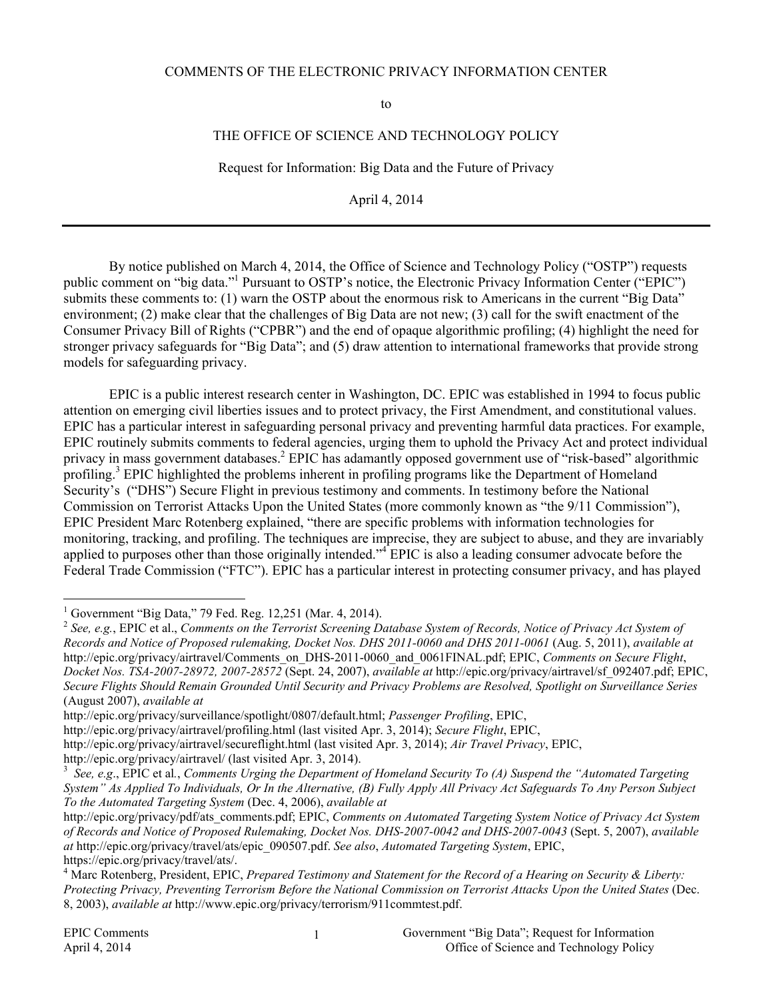#### COMMENTS OF THE ELECTRONIC PRIVACY INFORMATION CENTER

to

#### THE OFFICE OF SCIENCE AND TECHNOLOGY POLICY

Request for Information: Big Data and the Future of Privacy

April 4, 2014

By notice published on March 4, 2014, the Office of Science and Technology Policy ("OSTP") requests public comment on "big data."<sup>1</sup> Pursuant to OSTP's notice, the Electronic Privacy Information Center ("EPIC") submits these comments to: (1) warn the OSTP about the enormous risk to Americans in the current "Big Data" environment; (2) make clear that the challenges of Big Data are not new; (3) call for the swift enactment of the Consumer Privacy Bill of Rights ("CPBR") and the end of opaque algorithmic profiling; (4) highlight the need for stronger privacy safeguards for "Big Data"; and (5) draw attention to international frameworks that provide strong models for safeguarding privacy.

EPIC is a public interest research center in Washington, DC. EPIC was established in 1994 to focus public attention on emerging civil liberties issues and to protect privacy, the First Amendment, and constitutional values. EPIC has a particular interest in safeguarding personal privacy and preventing harmful data practices. For example, EPIC routinely submits comments to federal agencies, urging them to uphold the Privacy Act and protect individual privacy in mass government databases.<sup>2</sup> EPIC has adamantly opposed government use of "risk-based" algorithmic profiling.<sup>3</sup> EPIC highlighted the problems inherent in profiling programs like the Department of Homeland Security's ("DHS") Secure Flight in previous testimony and comments. In testimony before the National Commission on Terrorist Attacks Upon the United States (more commonly known as "the 9/11 Commission"), EPIC President Marc Rotenberg explained, "there are specific problems with information technologies for monitoring, tracking, and profiling. The techniques are imprecise, they are subject to abuse, and they are invariably applied to purposes other than those originally intended."<sup>4</sup> EPIC is also a leading consumer advocate before the Federal Trade Commission ("FTC"). EPIC has a particular interest in protecting consumer privacy, and has played

 $\frac{1}{1}$ <sup>1</sup> Government "Big Data," 79 Fed. Reg. 12,251 (Mar. 4, 2014).

<sup>2</sup> *See, e.g.*, EPIC et al., *Comments on the Terrorist Screening Database System of Records, Notice of Privacy Act System of Records and Notice of Proposed rulemaking, Docket Nos. DHS 2011-0060 and DHS 2011-0061* (Aug. 5, 2011), *available at* http://epic.org/privacy/airtravel/Comments\_on\_DHS-2011-0060\_and\_0061FINAL.pdf; EPIC, *Comments on Secure Flight*, *Docket Nos. TSA-2007-28972, 2007-28572* (Sept. 24, 2007), *available at* http://epic.org/privacy/airtravel/sf\_092407.pdf; EPIC, *Secure Flights Should Remain Grounded Until Security and Privacy Problems are Resolved, Spotlight on Surveillance Series* (August 2007), *available at*

http://epic.org/privacy/surveillance/spotlight/0807/default.html; *Passenger Profiling*, EPIC,

http://epic.org/privacy/airtravel/profiling.html (last visited Apr. 3, 2014); *Secure Flight*, EPIC,

http://epic.org/privacy/airtravel/secureflight.html (last visited Apr. 3, 2014); *Air Travel Privacy*, EPIC,

http://epic.org/privacy/airtravel/ (last visited Apr. 3, 2014).

*See, e.g*., EPIC et al*.*, *Comments Urging the Department of Homeland Security To (A) Suspend the "Automated Targeting System" As Applied To Individuals, Or In the Alternative, (B) Fully Apply All Privacy Act Safeguards To Any Person Subject To the Automated Targeting System* (Dec. 4, 2006), *available at*

http://epic.org/privacy/pdf/ats\_comments.pdf; EPIC, *Comments on Automated Targeting System Notice of Privacy Act System of Records and Notice of Proposed Rulemaking, Docket Nos. DHS-2007-0042 and DHS-2007-0043* (Sept. 5, 2007), *available at* http://epic.org/privacy/travel/ats/epic\_090507.pdf. *See also*, *Automated Targeting System*, EPIC, https://epic.org/privacy/travel/ats/.

<sup>4</sup> Marc Rotenberg, President, EPIC, *Prepared Testimony and Statement for the Record of a Hearing on Security & Liberty: Protecting Privacy, Preventing Terrorism Before the National Commission on Terrorist Attacks Upon the United States* (Dec. 8, 2003), *available at* http://www.epic.org/privacy/terrorism/911commtest.pdf.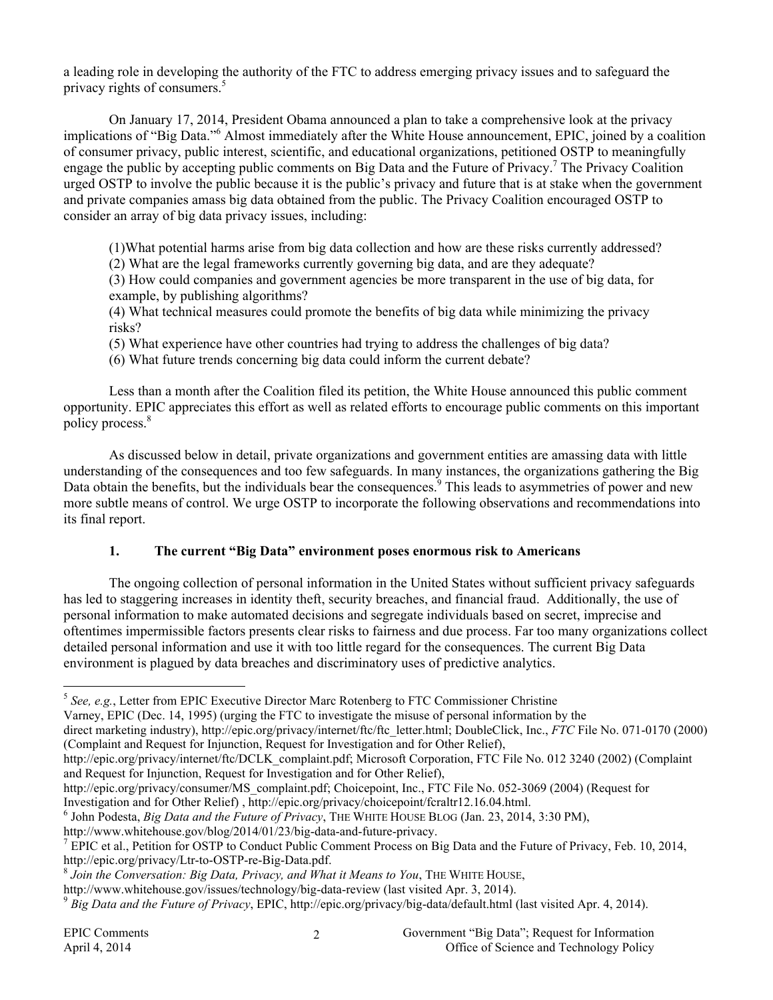a leading role in developing the authority of the FTC to address emerging privacy issues and to safeguard the privacy rights of consumers.<sup>5</sup>

On January 17, 2014, President Obama announced a plan to take a comprehensive look at the privacy implications of "Big Data."6 Almost immediately after the White House announcement, EPIC, joined by a coalition of consumer privacy, public interest, scientific, and educational organizations, petitioned OSTP to meaningfully engage the public by accepting public comments on Big Data and the Future of Privacy.<sup>7</sup> The Privacy Coalition urged OSTP to involve the public because it is the public's privacy and future that is at stake when the government and private companies amass big data obtained from the public. The Privacy Coalition encouraged OSTP to consider an array of big data privacy issues, including:

(1)What potential harms arise from big data collection and how are these risks currently addressed?

(2) What are the legal frameworks currently governing big data, and are they adequate?

(3) How could companies and government agencies be more transparent in the use of big data, for example, by publishing algorithms?

(4) What technical measures could promote the benefits of big data while minimizing the privacy risks?

- (5) What experience have other countries had trying to address the challenges of big data?
- (6) What future trends concerning big data could inform the current debate?

Less than a month after the Coalition filed its petition, the White House announced this public comment opportunity. EPIC appreciates this effort as well as related efforts to encourage public comments on this important policy process.<sup>8</sup>

As discussed below in detail, private organizations and government entities are amassing data with little understanding of the consequences and too few safeguards. In many instances, the organizations gathering the Big Data obtain the benefits, but the individuals bear the consequences.<sup>9</sup> This leads to asymmetries of power and new more subtle means of control. We urge OSTP to incorporate the following observations and recommendations into its final report.

### **1. The current "Big Data" environment poses enormous risk to Americans**

The ongoing collection of personal information in the United States without sufficient privacy safeguards has led to staggering increases in identity theft, security breaches, and financial fraud. Additionally, the use of personal information to make automated decisions and segregate individuals based on secret, imprecise and oftentimes impermissible factors presents clear risks to fairness and due process. Far too many organizations collect detailed personal information and use it with too little regard for the consequences. The current Big Data environment is plagued by data breaches and discriminatory uses of predictive analytics.

direct marketing industry), http://epic.org/privacy/internet/ftc/ftc\_letter.html; DoubleClick, Inc., *FTC* File No. 071-0170 (2000) (Complaint and Request for Injunction, Request for Investigation and for Other Relief),

Investigation and for Other Relief) , http://epic.org/privacy/choicepoint/fcraltr12.16.04.html. <sup>6</sup>

John Podesta, *Big Data and the Future of Privacy*, THE WHITE HOUSE BLOG (Jan. 23, 2014, 3:30 PM),

 <sup>5</sup> *See, e.g.*, Letter from EPIC Executive Director Marc Rotenberg to FTC Commissioner Christine

Varney, EPIC (Dec. 14, 1995) (urging the FTC to investigate the misuse of personal information by the

http://epic.org/privacy/internet/ftc/DCLK\_complaint.pdf; Microsoft Corporation, FTC File No. 012 3240 (2002) (Complaint and Request for Injunction, Request for Investigation and for Other Relief),

http://epic.org/privacy/consumer/MS\_complaint.pdf; Choicepoint, Inc., FTC File No. 052-3069 (2004) (Request for

http://www.whitehouse.gov/blog/2014/01/23/big-data-and-future-privacy.

<sup>&</sup>lt;sup>7</sup> EPIC et al., Petition for OSTP to Conduct Public Comment Process on Big Data and the Future of Privacy, Feb. 10, 2014, http://epic.org/privacy/Ltr-to-OSTP-re-Big-Data.pdf.<br><sup>8</sup> *Join the Conversation: Big Data, Privacy, and What it Means to You*, THE WHITE HOUSE,

http://www.whitehouse.gov/issues/technology/big-data-review (last visited Apr. 3, 2014). <sup>9</sup> *Big Data and the Future of Privacy*, EPIC, http://epic.org/privacy/big-data/default.html (last visited Apr. 4, 2014).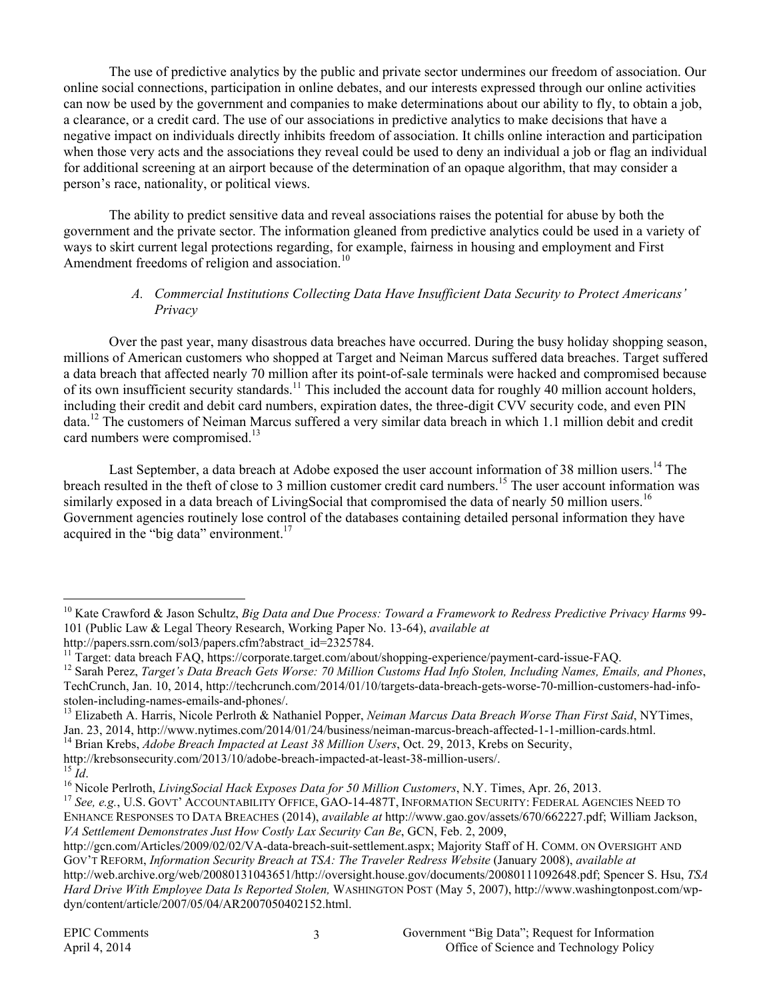The use of predictive analytics by the public and private sector undermines our freedom of association. Our online social connections, participation in online debates, and our interests expressed through our online activities can now be used by the government and companies to make determinations about our ability to fly, to obtain a job, a clearance, or a credit card. The use of our associations in predictive analytics to make decisions that have a negative impact on individuals directly inhibits freedom of association. It chills online interaction and participation when those very acts and the associations they reveal could be used to deny an individual a job or flag an individual for additional screening at an airport because of the determination of an opaque algorithm, that may consider a person's race, nationality, or political views.

The ability to predict sensitive data and reveal associations raises the potential for abuse by both the government and the private sector. The information gleaned from predictive analytics could be used in a variety of ways to skirt current legal protections regarding, for example, fairness in housing and employment and First Amendment freedoms of religion and association.<sup>10</sup>

#### *A. Commercial Institutions Collecting Data Have Insufficient Data Security to Protect Americans' Privacy*

Over the past year, many disastrous data breaches have occurred. During the busy holiday shopping season, millions of American customers who shopped at Target and Neiman Marcus suffered data breaches. Target suffered a data breach that affected nearly 70 million after its point-of-sale terminals were hacked and compromised because of its own insufficient security standards.11 This included the account data for roughly 40 million account holders, including their credit and debit card numbers, expiration dates, the three-digit CVV security code, and even PIN data.12 The customers of Neiman Marcus suffered a very similar data breach in which 1.1 million debit and credit card numbers were compromised.<sup>13</sup>

Last September, a data breach at Adobe exposed the user account information of 38 million users.<sup>14</sup> The breach resulted in the theft of close to 3 million customer credit card numbers.<sup>15</sup> The user account information was similarly exposed in a data breach of LivingSocial that compromised the data of nearly 50 million users.<sup>16</sup> Government agencies routinely lose control of the databases containing detailed personal information they have acquired in the "big data" environment. $17$ 

http://krebsonsecurity.com/2013/10/adobe-breach-impacted-at-least-38-million-users/.<br><sup>15</sup> Id.<br><sup>16</sup> Nicole Perlroth, *LivingSocial Hack Exposes Data for 50 Million Customers*, N.Y. Times, Apr. 26, 2013.<br><sup>17</sup> See. e.g., U.S.

 <sup>10</sup> Kate Crawford & Jason Schultz, *Big Data and Due Process: Toward a Framework to Redress Predictive Privacy Harms* 99- 101 (Public Law & Legal Theory Research, Working Paper No. 13-64), *available at*

http://papers.ssrn.com/sol3/papers.cfm?abstract\_id=2325784.<br><sup>11</sup> Target: data breach FAQ, https://corporate.target.com/about/shopping-experience/payment-card-issue-FAQ.

<sup>&</sup>lt;sup>12</sup> Sarah Perez, Target's Data Breach Gets Worse: 70 Million Customs Had Info Stolen, Including Names, Emails, and Phones, TechCrunch, Jan. 10, 2014, http://techcrunch.com/2014/01/10/targets-data-breach-gets-worse-70-million-customers-had-infostolen-including-names-emails-and-phones/.<br><sup>13</sup> Elizabeth A. Harris, Nicole Perlroth & Nathaniel Popper, *Neiman Marcus Data Breach Worse Than First Said*, NYTimes,

Jan. 23, 2014, http://www.nytimes.com/2014/01/24/business/neiman-marcus-breach-affected-1-1-million-cards.html. 14 Brian Krebs, *Adobe Breach Impacted at Least 38 Million Users*, Oct. 29, 2013, Krebs on Security,

ENHANCE RESPONSES TO DATA BREACHES (2014), *available at* http://www.gao.gov/assets/670/662227.pdf; William Jackson, *VA Settlement Demonstrates Just How Costly Lax Security Can Be*, GCN, Feb. 2, 2009,

http://gcn.com/Articles/2009/02/02/VA-data-breach-suit-settlement.aspx; Majority Staff of H. COMM. ON OVERSIGHT AND GOV'T REFORM, *Information Security Breach at TSA: The Traveler Redress Website* (January 2008), *available at* http://web.archive.org/web/20080131043651/http://oversight.house.gov/documents/20080111092648.pdf; Spencer S. Hsu, *TSA Hard Drive With Employee Data Is Reported Stolen,* WASHINGTON POST (May 5, 2007), http://www.washingtonpost.com/wpdyn/content/article/2007/05/04/AR2007050402152.html.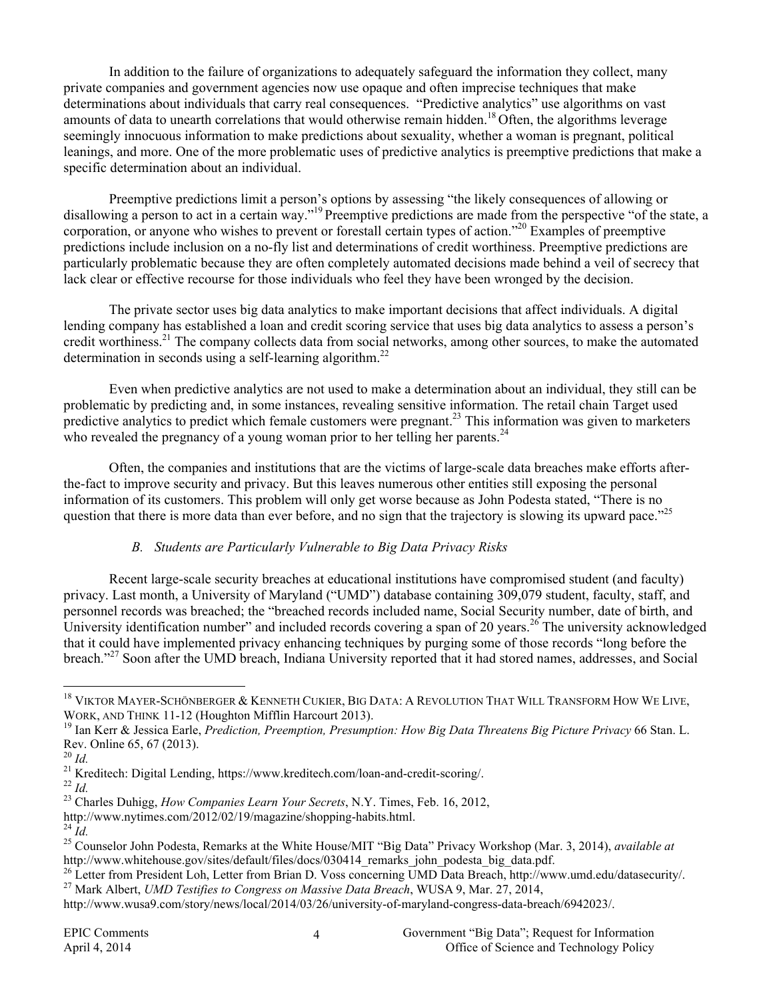In addition to the failure of organizations to adequately safeguard the information they collect, many private companies and government agencies now use opaque and often imprecise techniques that make determinations about individuals that carry real consequences. "Predictive analytics" use algorithms on vast amounts of data to unearth correlations that would otherwise remain hidden.<sup>18</sup> Often, the algorithms leverage seemingly innocuous information to make predictions about sexuality, whether a woman is pregnant, political leanings, and more. One of the more problematic uses of predictive analytics is preemptive predictions that make a specific determination about an individual.

Preemptive predictions limit a person's options by assessing "the likely consequences of allowing or disallowing a person to act in a certain way."<sup>19</sup> Preemptive predictions are made from the perspective "of the state, a corporation, or anyone who wishes to prevent or forestall certain types of action."<sup>20</sup> Examples of preemptive predictions include inclusion on a no-fly list and determinations of credit worthiness. Preemptive predictions are particularly problematic because they are often completely automated decisions made behind a veil of secrecy that lack clear or effective recourse for those individuals who feel they have been wronged by the decision.

The private sector uses big data analytics to make important decisions that affect individuals. A digital lending company has established a loan and credit scoring service that uses big data analytics to assess a person's credit worthiness.21 The company collects data from social networks, among other sources, to make the automated determination in seconds using a self-learning algorithm.<sup>22</sup>

Even when predictive analytics are not used to make a determination about an individual, they still can be problematic by predicting and, in some instances, revealing sensitive information. The retail chain Target used predictive analytics to predict which female customers were pregnant.<sup>23</sup> This information was given to marketers who revealed the pregnancy of a young woman prior to her telling her parents.<sup>24</sup>

Often, the companies and institutions that are the victims of large-scale data breaches make efforts afterthe-fact to improve security and privacy. But this leaves numerous other entities still exposing the personal information of its customers. This problem will only get worse because as John Podesta stated, "There is no question that there is more data than ever before, and no sign that the trajectory is slowing its upward pace."<sup>25</sup>

### *B. Students are Particularly Vulnerable to Big Data Privacy Risks*

Recent large-scale security breaches at educational institutions have compromised student (and faculty) privacy. Last month, a University of Maryland ("UMD") database containing 309,079 student, faculty, staff, and personnel records was breached; the "breached records included name, Social Security number, date of birth, and University identification number" and included records covering a span of 20 years.<sup>26</sup> The university acknowledged that it could have implemented privacy enhancing techniques by purging some of those records "long before the breach."27 Soon after the UMD breach, Indiana University reported that it had stored names, addresses, and Social

<sup>&</sup>lt;sup>18</sup> VIKTOR MAYER-SCHÖNBERGER & KENNETH CUKIER, BIG DATA: A REVOLUTION THAT WILL TRANSFORM HOW WE LIVE, WORK, AND THINK 11-12 (Houghton Mifflin Harcourt 2013).<br><sup>19</sup> Ian Kerr & Jessica Earle, *Prediction, Preemption, Presumption: How Big Data Threatens Big Picture Privacy* 66 Stan. L.

Rev. Online 65, 67 (2013).<br><sup>20</sup> *Id.* 

<sup>&</sup>lt;sup>21</sup> Kreditech: Digital Lending, https://www.kreditech.com/loan-and-credit-scoring/.<br><sup>22</sup> *Id.* 23 Charles Duhigg, *How Companies Learn Your Secrets*, N.Y. Times, Feb. 16, 2012,

http://www.nytimes.com/2012/02/19/magazine/shopping-habits.html.<br><sup>24</sup> *Id.* 25 Counselor John Podesta, Remarks at the White House/MIT "Big Data" Privacy Workshop (Mar. 3, 2014), *available at* http://www.whitehouse.gov/sites/default/files/docs/030414 remarks john podesta big data.pdf.

<sup>&</sup>lt;sup>26</sup> Letter from President Loh, Letter from Brian D. Voss concerning UMD Data Breach, http://www.umd.edu/datasecurity/.

<sup>27</sup> Mark Albert, *UMD Testifies to Congress on Massive Data Breach*, WUSA 9, Mar. 27, 2014, http://www.wusa9.com/story/news/local/2014/03/26/university-of-maryland-congress-data-breach/6942023/.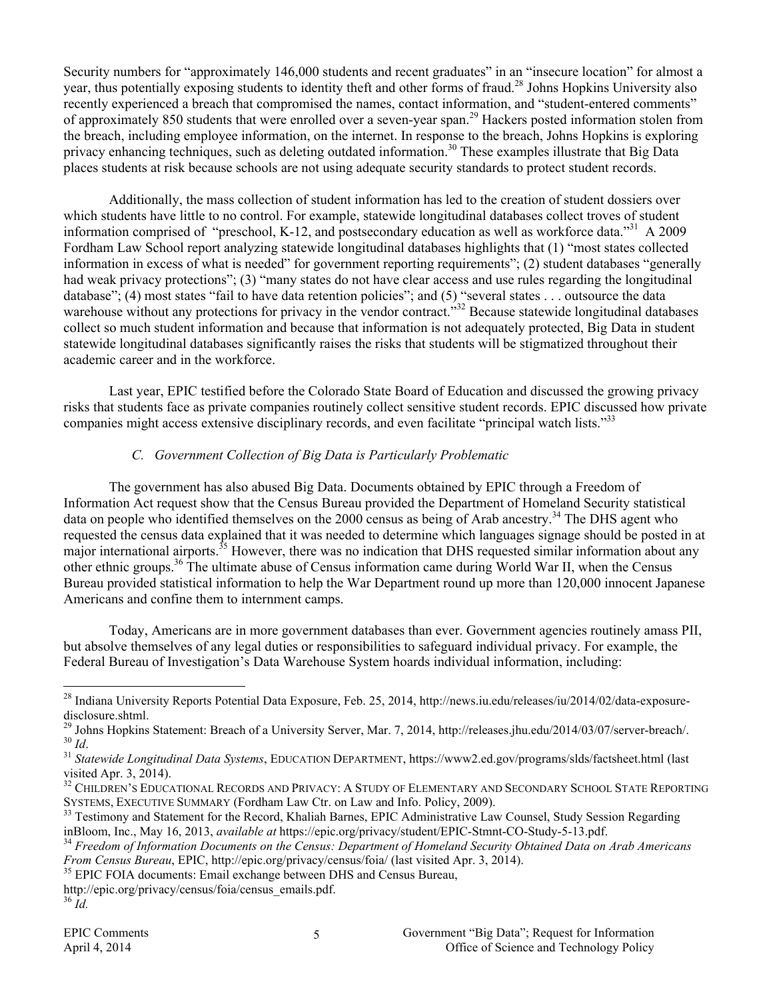Security numbers for "approximately 146,000 students and recent graduates" in an "insecure location" for almost a year, thus potentially exposing students to identity theft and other forms of fraud.<sup>28</sup> Johns Hopkins University also recently experienced a breach that compromised the names, contact information, and "student-entered comments" of approximately 850 students that were enrolled over a seven-year span.29 Hackers posted information stolen from the breach, including employee information, on the internet. In response to the breach, Johns Hopkins is exploring privacy enhancing techniques, such as deleting outdated information.<sup>30</sup> These examples illustrate that Big Data places students at risk because schools are not using adequate security standards to protect student records.

Additionally, the mass collection of student information has led to the creation of student dossiers over which students have little to no control. For example, statewide longitudinal databases collect troves of student information comprised of "preschool, K-12, and postsecondary education as well as workforce data."31 A 2009 Fordham Law School report analyzing statewide longitudinal databases highlights that (1) "most states collected information in excess of what is needed" for government reporting requirements"; (2) student databases "generally had weak privacy protections"; (3) "many states do not have clear access and use rules regarding the longitudinal database"; (4) most states "fail to have data retention policies"; and (5) "several states . . . outsource the data warehouse without any protections for privacy in the vendor contract.<sup>332</sup> Because statewide longitudinal databases collect so much student information and because that information is not adequately protected, Big Data in student statewide longitudinal databases significantly raises the risks that students will be stigmatized throughout their academic career and in the workforce.

Last year, EPIC testified before the Colorado State Board of Education and discussed the growing privacy risks that students face as private companies routinely collect sensitive student records. EPIC discussed how private companies might access extensive disciplinary records, and even facilitate "principal watch lists."<sup>33</sup>

### *C. Government Collection of Big Data is Particularly Problematic*

The government has also abused Big Data. Documents obtained by EPIC through a Freedom of Information Act request show that the Census Bureau provided the Department of Homeland Security statistical data on people who identified themselves on the 2000 census as being of Arab ancestry.<sup>34</sup> The DHS agent who requested the census data explained that it was needed to determine which languages signage should be posted in at major international airports.<sup>35</sup> However, there was no indication that DHS requested similar information about any other ethnic groups.36 The ultimate abuse of Census information came during World War II, when the Census Bureau provided statistical information to help the War Department round up more than 120,000 innocent Japanese Americans and confine them to internment camps.

Today, Americans are in more government databases than ever. Government agencies routinely amass PII, but absolve themselves of any legal duties or responsibilities to safeguard individual privacy. For example, the Federal Bureau of Investigation's Data Warehouse System hoards individual information, including:

- <sup>35</sup> EPIC FOIA documents: Email exchange between DHS and Census Bureau,
- http://epic.org/privacy/census/foia/census\_emails.pdf. <sup>36</sup> *Id.*

<sup>&</sup>lt;sup>28</sup> Indiana University Reports Potential Data Exposure, Feb. 25, 2014, http://news.iu.edu/releases/iu/2014/02/data-exposuredisclosure.shtml.<br><sup>29</sup> Johns Hopkins Statement: Breach of a University Server, Mar. 7, 2014, http://releases.jhu.edu/2014/03/07/server-breach/.

 $\frac{30 \text{ Jd}}{1d}$ .<br><sup>31</sup> Statewide Longitudinal Data Systems, EDUCATION DEPARTMENT, https://www2.ed.gov/programs/slds/factsheet.html (last

visited Apr. 3, 2014).

<sup>&</sup>lt;sup>32</sup> CHILDREN'S EDUCATIONAL RECORDS AND PRIVACY: A STUDY OF ELEMENTARY AND SECONDARY SCHOOL STATE REPORTING SYSTEMS, EXECUTIVE SUMMARY (Fordham Law Ctr. on Law and Info. Policy, 2009).<br><sup>33</sup> Testimony and Statement for the Record, Khaliah Barnes, EPIC Administrative Law Counsel, Study Session Regarding

inBloom, Inc., May 16, 2013, available at https://epic.org/privacy/student/EPIC-Stmnt-CO-Study-5-13.pdf.<br><sup>34</sup> Freedom of Information Documents on the Census: Department of Homeland Security Obtained Data on Arab Americans<br>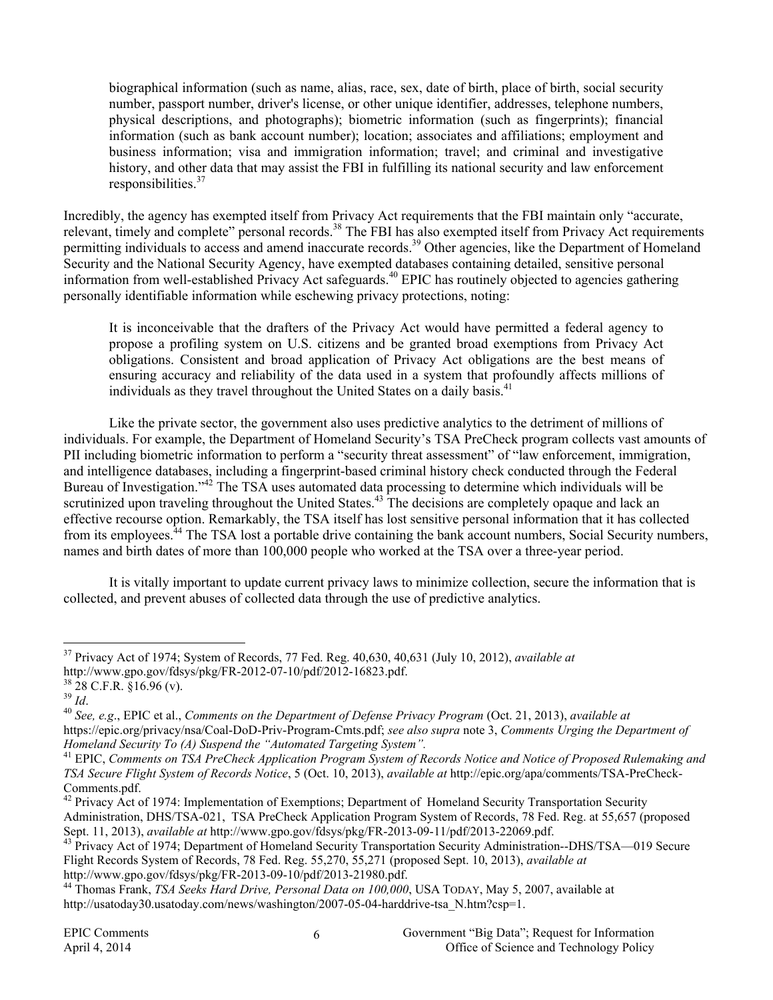biographical information (such as name, alias, race, sex, date of birth, place of birth, social security number, passport number, driver's license, or other unique identifier, addresses, telephone numbers, physical descriptions, and photographs); biometric information (such as fingerprints); financial information (such as bank account number); location; associates and affiliations; employment and business information; visa and immigration information; travel; and criminal and investigative history, and other data that may assist the FBI in fulfilling its national security and law enforcement responsibilities.<sup>37</sup>

Incredibly, the agency has exempted itself from Privacy Act requirements that the FBI maintain only "accurate, relevant, timely and complete" personal records.<sup>38</sup> The FBI has also exempted itself from Privacy Act requirements permitting individuals to access and amend inaccurate records.<sup>39</sup> Other agencies, like the Department of Homeland Security and the National Security Agency, have exempted databases containing detailed, sensitive personal information from well-established Privacy Act safeguards.<sup>40</sup> EPIC has routinely objected to agencies gathering personally identifiable information while eschewing privacy protections, noting:

It is inconceivable that the drafters of the Privacy Act would have permitted a federal agency to propose a profiling system on U.S. citizens and be granted broad exemptions from Privacy Act obligations. Consistent and broad application of Privacy Act obligations are the best means of ensuring accuracy and reliability of the data used in a system that profoundly affects millions of individuals as they travel throughout the United States on a daily basis.<sup>41</sup>

Like the private sector, the government also uses predictive analytics to the detriment of millions of individuals. For example, the Department of Homeland Security's TSA PreCheck program collects vast amounts of PII including biometric information to perform a "security threat assessment" of "law enforcement, immigration, and intelligence databases, including a fingerprint-based criminal history check conducted through the Federal Bureau of Investigation."<sup>42</sup> The TSA uses automated data processing to determine which individuals will be scrutinized upon traveling throughout the United States.<sup>43</sup> The decisions are completely opaque and lack an effective recourse option. Remarkably, the TSA itself has lost sensitive personal information that it has collected from its employees.44 The TSA lost a portable drive containing the bank account numbers, Social Security numbers, names and birth dates of more than 100,000 people who worked at the TSA over a three-year period.

It is vitally important to update current privacy laws to minimize collection, secure the information that is collected, and prevent abuses of collected data through the use of predictive analytics.

 <sup>37</sup> Privacy Act of 1974; System of Records, 77 Fed. Reg. 40,630, 40,631 (July 10, 2012), *available at*

http://www.gpo.gov/fdsys/pkg/FR-2012-07-10/pdf/2012-16823.pdf.<br><sup>38</sup> 28 C.F.R. §16.96 (v).<br><sup>39</sup> Id.

<sup>39</sup> *Id*. 40 *See, e.g*., EPIC et al., *Comments on the Department of Defense Privacy Program* (Oct. 21, 2013), *available at*

https://epic.org/privacy/nsa/Coal-DoD-Priv-Program-Cmts.pdf; *see also supra* note 3, *Comments Urging the Department of Homeland Security To (A) Suspend the "Automated Targeting System".*<br><sup>41</sup> EPIC, *Comments on TSA PreCheck Application Program System of Records Notice and Notice of Proposed Rulemaking and* 

*TSA Secure Flight System of Records Notice*, 5 (Oct. 10, 2013), *available at* http://epic.org/apa/comments/TSA-PreCheck-Comments.pdf.

<sup>&</sup>lt;sup>42</sup> Privacy Act of 1974: Implementation of Exemptions; Department of Homeland Security Transportation Security Administration, DHS/TSA-021, TSA PreCheck Application Program System of Records, 78 Fed. Reg. at 55,657 (proposed Sept. 11, 2013), *available at* http://www.gpo.gov/fdsys/pkg/FR-2013-09-11/pdf/2013-22069.pdf. 43 Privacy Act of 1974; Department of Homeland Security Transportation Security Administration--DHS/TSA—019 Secure

Flight Records System of Records, 78 Fed. Reg. 55,270, 55,271 (proposed Sept. 10, 2013), *available at*

<sup>&</sup>lt;sup>44</sup> Thomas Frank, *TSA Seeks Hard Drive, Personal Data on 100,000*, USA TODAY, May 5, 2007, available at http://usatoday30.usatoday.com/news/washington/2007-05-04-harddrive-tsa\_N.htm?csp=1.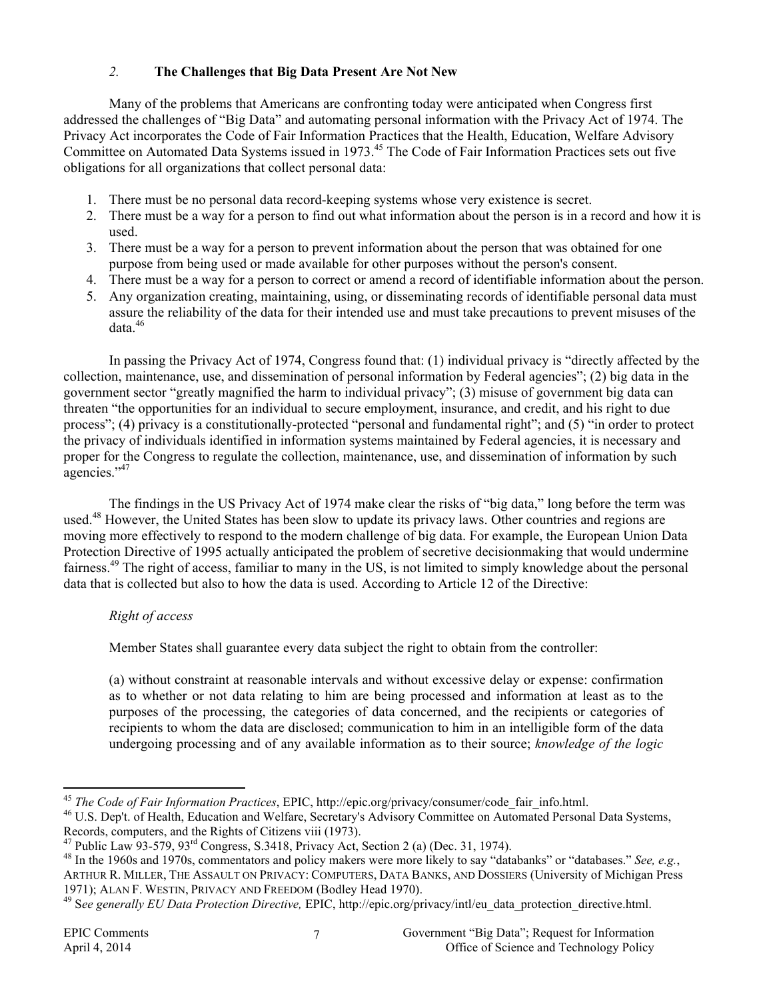# *2.* **The Challenges that Big Data Present Are Not New**

Many of the problems that Americans are confronting today were anticipated when Congress first addressed the challenges of "Big Data" and automating personal information with the Privacy Act of 1974. The Privacy Act incorporates the Code of Fair Information Practices that the Health, Education, Welfare Advisory Committee on Automated Data Systems issued in 1973.<sup>45</sup> The Code of Fair Information Practices sets out five obligations for all organizations that collect personal data:

- 1. There must be no personal data record-keeping systems whose very existence is secret.
- 2. There must be a way for a person to find out what information about the person is in a record and how it is used.
- 3. There must be a way for a person to prevent information about the person that was obtained for one purpose from being used or made available for other purposes without the person's consent.
- 4. There must be a way for a person to correct or amend a record of identifiable information about the person.
- 5. Any organization creating, maintaining, using, or disseminating records of identifiable personal data must assure the reliability of the data for their intended use and must take precautions to prevent misuses of the data.46

 In passing the Privacy Act of 1974, Congress found that: (1) individual privacy is "directly affected by the collection, maintenance, use, and dissemination of personal information by Federal agencies"; (2) big data in the government sector "greatly magnified the harm to individual privacy"; (3) misuse of government big data can threaten "the opportunities for an individual to secure employment, insurance, and credit, and his right to due process"; (4) privacy is a constitutionally-protected "personal and fundamental right"; and (5) "in order to protect the privacy of individuals identified in information systems maintained by Federal agencies, it is necessary and proper for the Congress to regulate the collection, maintenance, use, and dissemination of information by such agencies."47

The findings in the US Privacy Act of 1974 make clear the risks of "big data," long before the term was used.<sup>48</sup> However, the United States has been slow to update its privacy laws. Other countries and regions are moving more effectively to respond to the modern challenge of big data. For example, the European Union Data Protection Directive of 1995 actually anticipated the problem of secretive decisionmaking that would undermine fairness.49 The right of access, familiar to many in the US, is not limited to simply knowledge about the personal data that is collected but also to how the data is used. According to Article 12 of the Directive:

### *Right of access*

Member States shall guarantee every data subject the right to obtain from the controller:

(a) without constraint at reasonable intervals and without excessive delay or expense: confirmation as to whether or not data relating to him are being processed and information at least as to the purposes of the processing, the categories of data concerned, and the recipients or categories of recipients to whom the data are disclosed; communication to him in an intelligible form of the data undergoing processing and of any available information as to their source; *knowledge of the logic* 

<sup>45</sup> *The Code of Fair Information Practices*, EPIC, http://epic.org/privacy/consumer/code\_fair\_info.html.<br><sup>46</sup> U.S. Dep't. of Health, Education and Welfare, Secretary's Advisory Committee on Automated Personal Data Syste Records, computers, and the Rights of Citizens viii (1973).<br><sup>47</sup> Public Law 93-579, 93<sup>rd</sup> Congress, S.3418, Privacy Act, Section 2 (a) (Dec. 31, 1974).<br><sup>48</sup> In the 1960s and 1970s, commentators and policy makers were more

ARTHUR R. MILLER, THE ASSAULT ON PRIVACY: COMPUTERS, DATA BANKS, AND DOSSIERS (University of Michigan Press 1971); ALAN F. WESTIN, PRIVACY AND FREEDOM (Bodley Head 1970).<br><sup>49</sup> See generally EU Data Protection Directive, EPIC, http://epic.org/privacy/intl/eu\_data\_protection\_directive.html.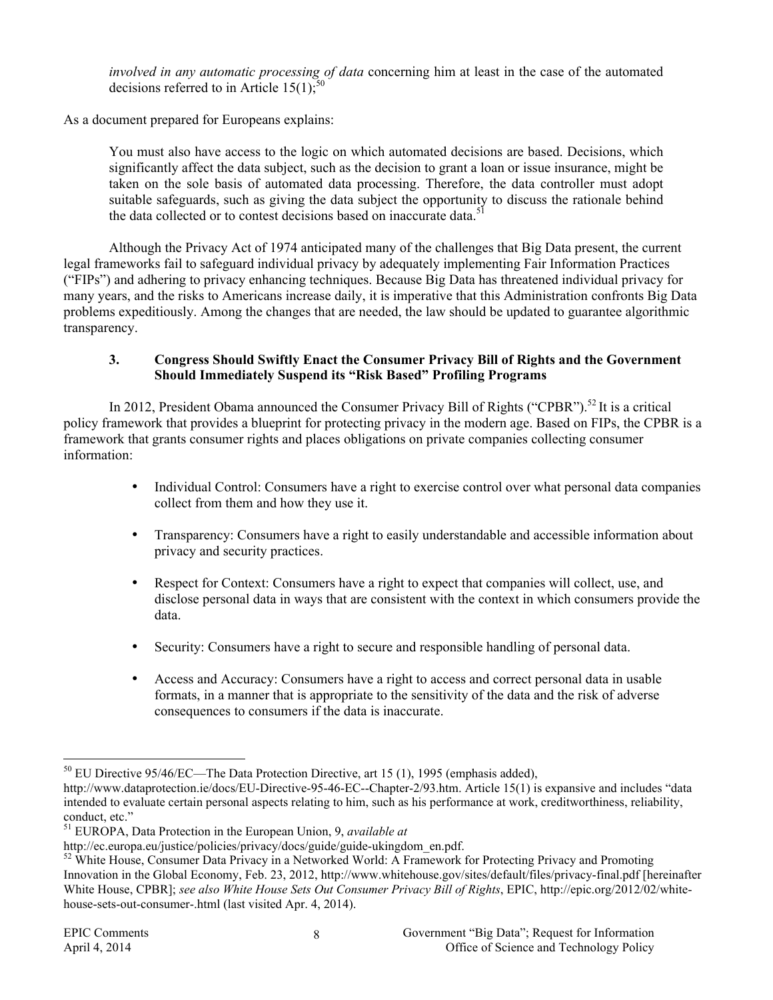*involved in any automatic processing of data* concerning him at least in the case of the automated decisions referred to in Article  $15(1)$ ;<sup>5</sup>

As a document prepared for Europeans explains:

You must also have access to the logic on which automated decisions are based. Decisions, which significantly affect the data subject, such as the decision to grant a loan or issue insurance, might be taken on the sole basis of automated data processing. Therefore, the data controller must adopt suitable safeguards, such as giving the data subject the opportunity to discuss the rationale behind the data collected or to contest decisions based on inaccurate data.<sup>51</sup>

Although the Privacy Act of 1974 anticipated many of the challenges that Big Data present, the current legal frameworks fail to safeguard individual privacy by adequately implementing Fair Information Practices ("FIPs") and adhering to privacy enhancing techniques. Because Big Data has threatened individual privacy for many years, and the risks to Americans increase daily, it is imperative that this Administration confronts Big Data problems expeditiously. Among the changes that are needed, the law should be updated to guarantee algorithmic transparency.

#### **3. Congress Should Swiftly Enact the Consumer Privacy Bill of Rights and the Government Should Immediately Suspend its "Risk Based" Profiling Programs**

In 2012, President Obama announced the Consumer Privacy Bill of Rights ("CPBR").<sup>52</sup> It is a critical policy framework that provides a blueprint for protecting privacy in the modern age. Based on FIPs, the CPBR is a framework that grants consumer rights and places obligations on private companies collecting consumer information:

- Individual Control: Consumers have a right to exercise control over what personal data companies collect from them and how they use it.
- Transparency: Consumers have a right to easily understandable and accessible information about privacy and security practices.
- Respect for Context: Consumers have a right to expect that companies will collect, use, and disclose personal data in ways that are consistent with the context in which consumers provide the data.
- Security: Consumers have a right to secure and responsible handling of personal data.
- Access and Accuracy: Consumers have a right to access and correct personal data in usable formats, in a manner that is appropriate to the sensitivity of the data and the risk of adverse consequences to consumers if the data is inaccurate.

<sup>&</sup>lt;sup>50</sup> EU Directive 95/46/EC—The Data Protection Directive, art 15 (1), 1995 (emphasis added),

http://www.dataprotection.ie/docs/EU-Directive-95-46-EC--Chapter-2/93.htm. Article 15(1) is expansive and includes "data intended to evaluate certain personal aspects relating to him, such as his performance at work, creditworthiness, reliability, conduct, etc."

<sup>51</sup> EUROPA, Data Protection in the European Union, 9, *available at*

http://ec.europa.eu/justice/policies/privacy/docs/guide/guide-ukingdom\_en.pdf.<br><sup>52</sup> White House, Consumer Data Privacy in a Networked World: A Framework for Protecting Privacy and Promoting Innovation in the Global Economy, Feb. 23, 2012, http://www.whitehouse.gov/sites/default/files/privacy-final.pdf [hereinafter White House, CPBR]; *see also White House Sets Out Consumer Privacy Bill of Rights*, EPIC, http://epic.org/2012/02/whitehouse-sets-out-consumer-.html (last visited Apr. 4, 2014).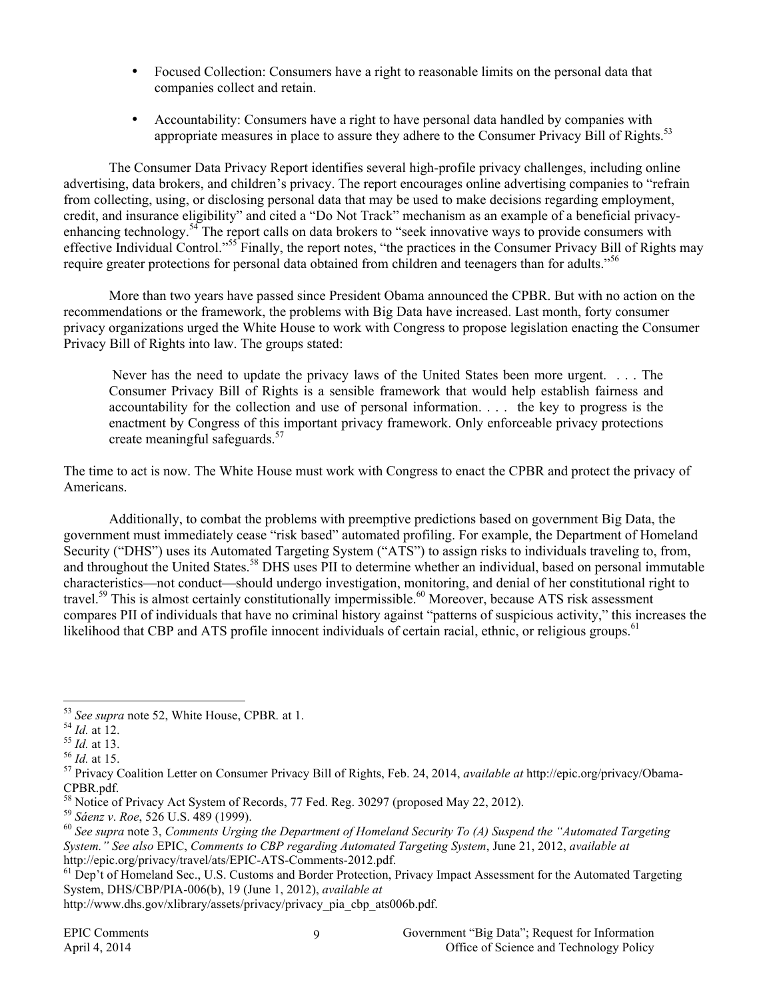- Focused Collection: Consumers have a right to reasonable limits on the personal data that companies collect and retain.
- Accountability: Consumers have a right to have personal data handled by companies with appropriate measures in place to assure they adhere to the Consumer Privacy Bill of Rights.<sup>53</sup>

The Consumer Data Privacy Report identifies several high-profile privacy challenges, including online advertising, data brokers, and children's privacy. The report encourages online advertising companies to "refrain from collecting, using, or disclosing personal data that may be used to make decisions regarding employment, credit, and insurance eligibility" and cited a "Do Not Track" mechanism as an example of a beneficial privacyenhancing technology.<sup>54</sup> The report calls on data brokers to "seek innovative ways to provide consumers with effective Individual Control."<sup>55</sup> Finally, the report notes, "the practices in the Consumer Privacy Bill of Rights may require greater protections for personal data obtained from children and teenagers than for adults."<sup>56</sup>

More than two years have passed since President Obama announced the CPBR. But with no action on the recommendations or the framework, the problems with Big Data have increased. Last month, forty consumer privacy organizations urged the White House to work with Congress to propose legislation enacting the Consumer Privacy Bill of Rights into law. The groups stated:

 Never has the need to update the privacy laws of the United States been more urgent. . . . The Consumer Privacy Bill of Rights is a sensible framework that would help establish fairness and accountability for the collection and use of personal information. . . . the key to progress is the enactment by Congress of this important privacy framework. Only enforceable privacy protections create meaningful safeguards.<sup>57</sup>

The time to act is now. The White House must work with Congress to enact the CPBR and protect the privacy of Americans.

Additionally, to combat the problems with preemptive predictions based on government Big Data, the government must immediately cease "risk based" automated profiling. For example, the Department of Homeland Security ("DHS") uses its Automated Targeting System ("ATS") to assign risks to individuals traveling to, from, and throughout the United States.<sup>58</sup> DHS uses PII to determine whether an individual, based on personal immutable characteristics—not conduct—should undergo investigation, monitoring, and denial of her constitutional right to travel.<sup>59</sup> This is almost certainly constitutionally impermissible.<sup>60</sup> Moreover, because ATS risk assessment compares PII of individuals that have no criminal history against "patterns of suspicious activity," this increases the likelihood that CBP and ATS profile innocent individuals of certain racial, ethnic, or religious groups.<sup>61</sup>

<sup>&</sup>lt;sup>53</sup> See supra note 52, White House, CPBR. at 1.<br>
<sup>54</sup> *Id.* at 12.<br>
<sup>55</sup> *Id.* at 13.<br>
<sup>56</sup> *Id.* at 15.<br>
<sup>56</sup> *Id.* at 15.<br>
<sup>57</sup> Privacy Coalition Letter on Consumer Privacy Bill of Rights, Feb. 24, 2014, *available at* CPBR.pdf.

<sup>&</sup>lt;sup>58</sup> Notice of Privacy Act System of Records, 77 Fed. Reg. 30297 (proposed May 22, 2012).<br><sup>59</sup> Sáenz v. Roe. 526 U.S. 489 (1999).

<sup>&</sup>lt;sup>60</sup> See supra note 3, *Comments Urging the Department of Homeland Security To (A) Suspend the "Automated Targeting System." See also* EPIC, *Comments to CBP regarding Automated Targeting System*, June 21, 2012, *available at* http://epic.org/privacy/travel/ats/EPIC-ATS-Comments-2012.pdf.<br><sup>61</sup> Dep't of Homeland Sec., U.S. Customs and Border Protection, Privacy Impact Assessment for the Automated Targeting

System, DHS/CBP/PIA-006(b), 19 (June 1, 2012), *available at*

http://www.dhs.gov/xlibrary/assets/privacy/privacy\_pia\_cbp\_ats006b.pdf.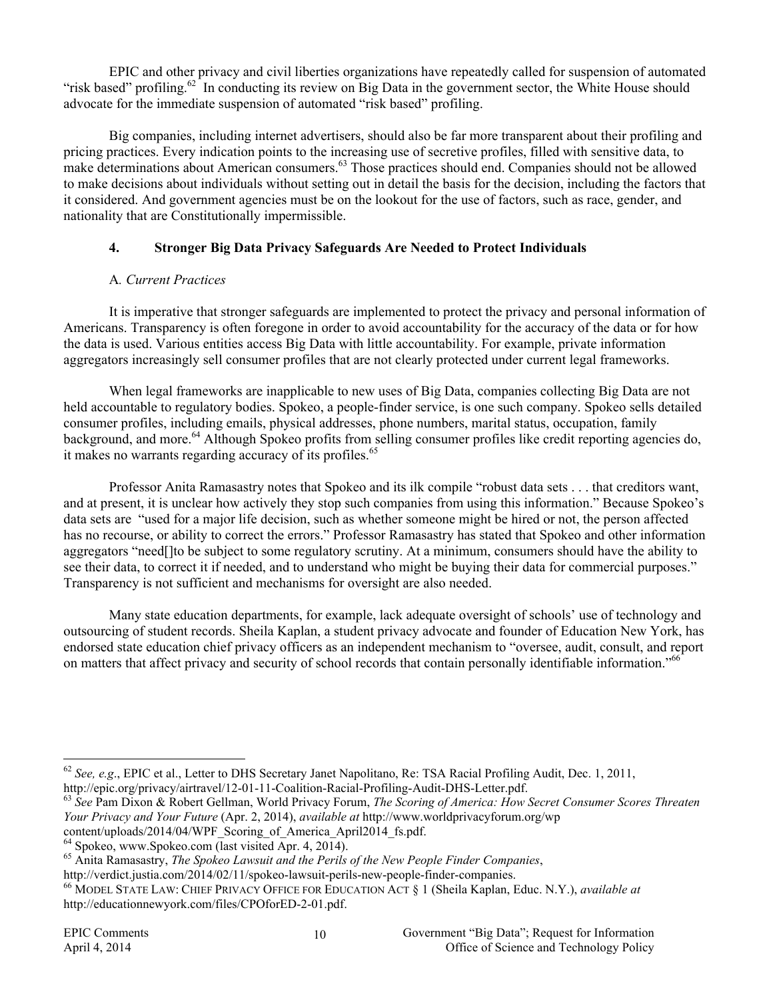EPIC and other privacy and civil liberties organizations have repeatedly called for suspension of automated "risk based" profiling.<sup>62</sup> In conducting its review on Big Data in the government sector, the White House should advocate for the immediate suspension of automated "risk based" profiling.

Big companies, including internet advertisers, should also be far more transparent about their profiling and pricing practices. Every indication points to the increasing use of secretive profiles, filled with sensitive data, to make determinations about American consumers.<sup>63</sup> Those practices should end. Companies should not be allowed to make decisions about individuals without setting out in detail the basis for the decision, including the factors that it considered. And government agencies must be on the lookout for the use of factors, such as race, gender, and nationality that are Constitutionally impermissible.

# **4. Stronger Big Data Privacy Safeguards Are Needed to Protect Individuals**

# A*. Current Practices*

It is imperative that stronger safeguards are implemented to protect the privacy and personal information of Americans. Transparency is often foregone in order to avoid accountability for the accuracy of the data or for how the data is used. Various entities access Big Data with little accountability. For example, private information aggregators increasingly sell consumer profiles that are not clearly protected under current legal frameworks.

When legal frameworks are inapplicable to new uses of Big Data, companies collecting Big Data are not held accountable to regulatory bodies. Spokeo, a people-finder service, is one such company. Spokeo sells detailed consumer profiles, including emails, physical addresses, phone numbers, marital status, occupation, family background, and more.<sup>64</sup> Although Spokeo profits from selling consumer profiles like credit reporting agencies do, it makes no warrants regarding accuracy of its profiles.<sup>65</sup>

Professor Anita Ramasastry notes that Spokeo and its ilk compile "robust data sets . . . that creditors want, and at present, it is unclear how actively they stop such companies from using this information." Because Spokeo's data sets are "used for a major life decision, such as whether someone might be hired or not, the person affected has no recourse, or ability to correct the errors." Professor Ramasastry has stated that Spokeo and other information aggregators "need[]to be subject to some regulatory scrutiny. At a minimum, consumers should have the ability to see their data, to correct it if needed, and to understand who might be buying their data for commercial purposes." Transparency is not sufficient and mechanisms for oversight are also needed.

Many state education departments, for example, lack adequate oversight of schools' use of technology and outsourcing of student records. Sheila Kaplan, a student privacy advocate and founder of Education New York, has endorsed state education chief privacy officers as an independent mechanism to "oversee, audit, consult, and report on matters that affect privacy and security of school records that contain personally identifiable information."<sup>66</sup>

<sup>&</sup>lt;sup>62</sup> *See, e.g.*, EPIC et al., Letter to DHS Secretary Janet Napolitano, Re: TSA Racial Profiling Audit, Dec. 1, 2011, http://epic.org/privacy/airtravel/12-01-11-Coalition-Racial-Profiling-Audit-DHS-Letter.pdf.

<sup>&</sup>lt;sup>63</sup> See Pam Dixon & Robert Gellman, World Privacy Forum, *The Scoring of America: How Secret Consumer Scores Threaten Your Privacy and Your Future* (Apr. 2, 2014), *available at* http://www.worldprivacyforum.org/wp content/uploads/2014/04/WPF\_Scoring\_of\_America\_April2014\_fs.pdf.

<sup>&</sup>lt;sup>64</sup> Spokeo, www.Spokeo.com (last visited Apr. 4, 2014).<br><sup>65</sup> Anita Ramasastry, *The Spokeo Lawsuit and the Perils of the New People Finder Companies*,<br>http://verdict.justia.com/2014/02/11/spokeo-lawsuit-perils-new-people-

<sup>&</sup>lt;sup>66</sup> MODEL STATE LAW: CHIEF PRIVACY OFFICE FOR EDUCATION ACT § 1 (Sheila Kaplan, Educ. N.Y.), *available at* http://educationnewyork.com/files/CPOforED-2-01.pdf.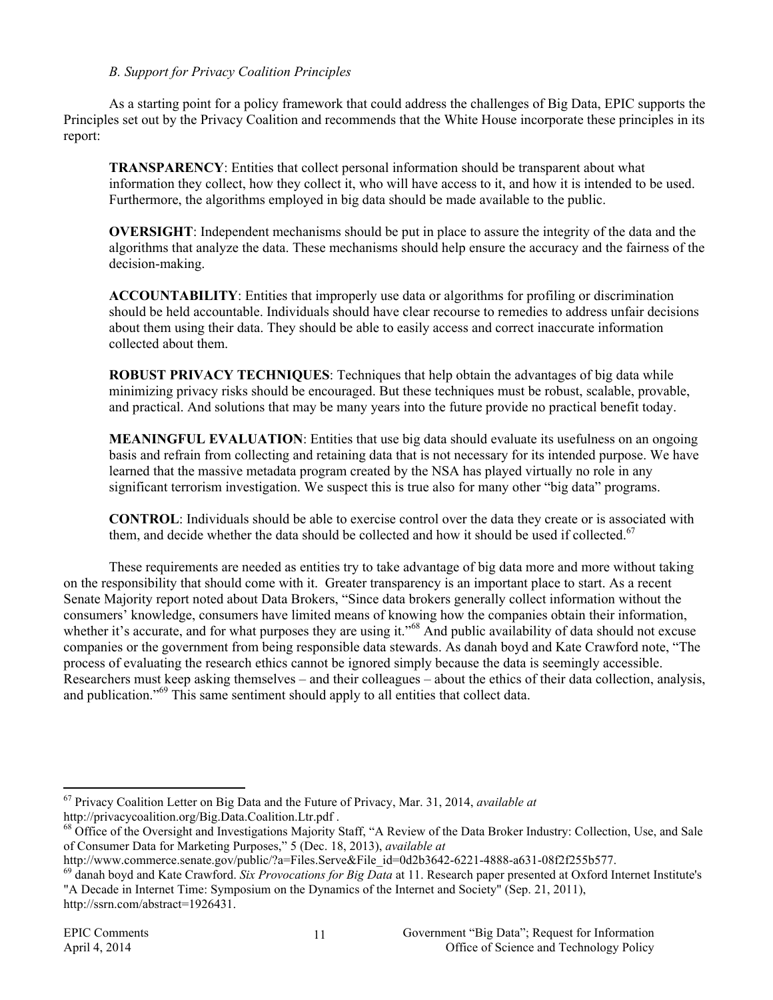#### *B. Support for Privacy Coalition Principles*

As a starting point for a policy framework that could address the challenges of Big Data, EPIC supports the Principles set out by the Privacy Coalition and recommends that the White House incorporate these principles in its report:

**TRANSPARENCY**: Entities that collect personal information should be transparent about what information they collect, how they collect it, who will have access to it, and how it is intended to be used. Furthermore, the algorithms employed in big data should be made available to the public.

**OVERSIGHT**: Independent mechanisms should be put in place to assure the integrity of the data and the algorithms that analyze the data. These mechanisms should help ensure the accuracy and the fairness of the decision-making.

**ACCOUNTABILITY**: Entities that improperly use data or algorithms for profiling or discrimination should be held accountable. Individuals should have clear recourse to remedies to address unfair decisions about them using their data. They should be able to easily access and correct inaccurate information collected about them.

**ROBUST PRIVACY TECHNIQUES**: Techniques that help obtain the advantages of big data while minimizing privacy risks should be encouraged. But these techniques must be robust, scalable, provable, and practical. And solutions that may be many years into the future provide no practical benefit today.

**MEANINGFUL EVALUATION**: Entities that use big data should evaluate its usefulness on an ongoing basis and refrain from collecting and retaining data that is not necessary for its intended purpose. We have learned that the massive metadata program created by the NSA has played virtually no role in any significant terrorism investigation. We suspect this is true also for many other "big data" programs.

**CONTROL**: Individuals should be able to exercise control over the data they create or is associated with them, and decide whether the data should be collected and how it should be used if collected.<sup>67</sup>

These requirements are needed as entities try to take advantage of big data more and more without taking on the responsibility that should come with it. Greater transparency is an important place to start. As a recent Senate Majority report noted about Data Brokers, "Since data brokers generally collect information without the consumers' knowledge, consumers have limited means of knowing how the companies obtain their information, whether it's accurate, and for what purposes they are using it."<sup>68</sup> And public availability of data should not excuse companies or the government from being responsible data stewards. As danah boyd and Kate Crawford note, "The process of evaluating the research ethics cannot be ignored simply because the data is seemingly accessible. Researchers must keep asking themselves – and their colleagues – about the ethics of their data collection, analysis, and publication."<sup>69</sup> This same sentiment should apply to all entities that collect data.

 <sup>67</sup> Privacy Coalition Letter on Big Data and the Future of Privacy, Mar. 31, 2014, *available at* http://privacycoalition.org/Big.Data.Coalition.Ltr.pdf .

<sup>&</sup>lt;sup>68</sup> Office of the Oversight and Investigations Majority Staff, "A Review of the Data Broker Industry: Collection, Use, and Sale of Consumer Data for Marketing Purposes," 5 (Dec. 18, 2013), *available at*

http://www.commerce.senate.gov/public/?a=Files.Serve&File\_id=0d2b3642-6221-4888-a631-08f2f255b577.<br><sup>69</sup> danah boyd and Kate Crawford. Six Provocations for Big Data at 11. Research paper presented at Oxford Internet Institu "A Decade in Internet Time: Symposium on the Dynamics of the Internet and Society" (Sep. 21, 2011), http://ssrn.com/abstract=1926431.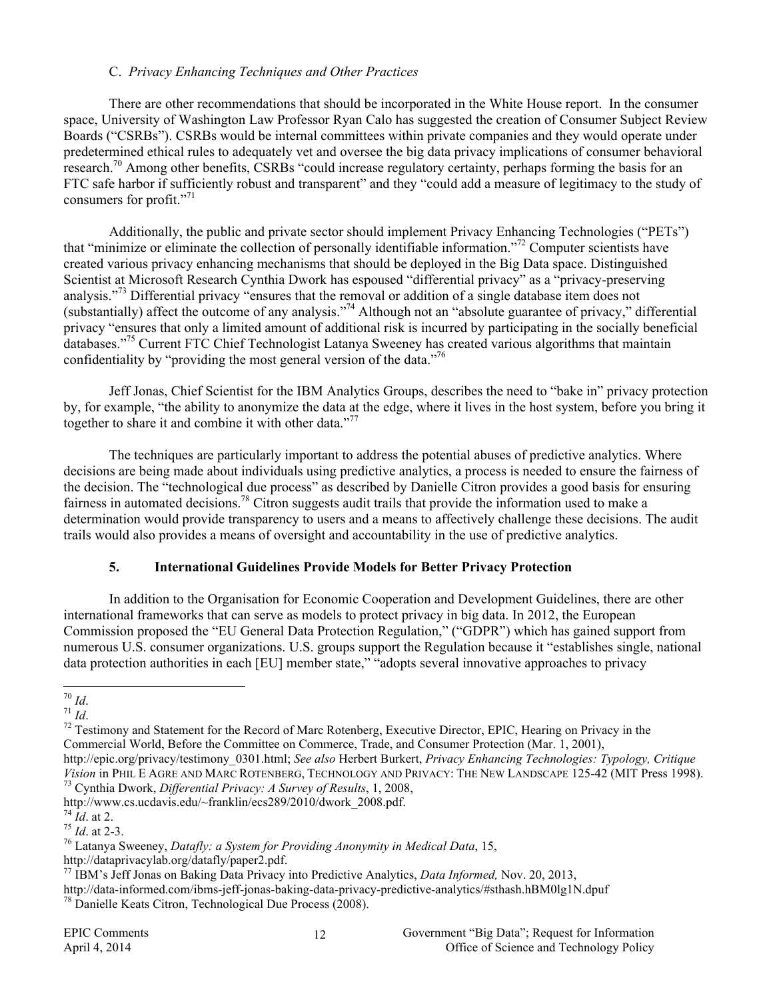#### C. *Privacy Enhancing Techniques and Other Practices*

There are other recommendations that should be incorporated in the White House report. In the consumer space, University of Washington Law Professor Ryan Calo has suggested the creation of Consumer Subject Review Boards ("CSRBs"). CSRBs would be internal committees within private companies and they would operate under predetermined ethical rules to adequately vet and oversee the big data privacy implications of consumer behavioral research.<sup>70</sup> Among other benefits, CSRBs "could increase regulatory certainty, perhaps forming the basis for an FTC safe harbor if sufficiently robust and transparent" and they "could add a measure of legitimacy to the study of consumers for profit."<sup>71</sup>

Additionally, the public and private sector should implement Privacy Enhancing Technologies ("PETs") that "minimize or eliminate the collection of personally identifiable information."72 Computer scientists have created various privacy enhancing mechanisms that should be deployed in the Big Data space. Distinguished Scientist at Microsoft Research Cynthia Dwork has espoused "differential privacy" as a "privacy-preserving analysis."<sup>73</sup> Differential privacy "ensures that the removal or addition of a single database item does not (substantially) affect the outcome of any analysis."<sup>74</sup> Although not an "absolute guarantee of privacy," differential (substantially) privacy "ensures that only a limited amount of additional risk is incurred by participating in the socially beneficial databases."<sup>75</sup> Current FTC Chief Technologist Latanya Sweeney has created various algorithms that maintain confidentiality by "providing the most general version of the data."<sup>76</sup>

Jeff Jonas, Chief Scientist for the IBM Analytics Groups, describes the need to "bake in" privacy protection by, for example, "the ability to anonymize the data at the edge, where it lives in the host system, before you bring it together to share it and combine it with other data."<sup>77</sup>

The techniques are particularly important to address the potential abuses of predictive analytics. Where decisions are being made about individuals using predictive analytics, a process is needed to ensure the fairness of the decision. The "technological due process" as described by Danielle Citron provides a good basis for ensuring fairness in automated decisions.78 Citron suggests audit trails that provide the information used to make a determination would provide transparency to users and a means to affectively challenge these decisions. The audit trails would also provides a means of oversight and accountability in the use of predictive analytics.

### **5. International Guidelines Provide Models for Better Privacy Protection**

In addition to the Organisation for Economic Cooperation and Development Guidelines, there are other international frameworks that can serve as models to protect privacy in big data. In 2012, the European Commission proposed the "EU General Data Protection Regulation," ("GDPR") which has gained support from numerous U.S. consumer organizations. U.S. groups support the Regulation because it "establishes single, national data protection authorities in each [EU] member state," "adopts several innovative approaches to privacy

http://www.cs.ucdavis.edu/~franklin/ecs289/2010/dwork\_2008.pdf.

<sup>&</sup>lt;sup>70</sup> *Id.*<br><sup>71</sup> *Id.* 72 Testimony and Statement for the Record of Marc Rotenberg, Executive Director, EPIC, Hearing on Privacy in the Commercial World, Before the Committee on Commerce, Trade, and Consumer Protection (Mar. 1, 2001), http://epic.org/privacy/testimony\_0301.html; *See also* Herbert Burkert, *Privacy Enhancing Technologies: Typology, Critique Vision* in PHIL E AGRE AND MARC ROTENBERG, TECHNOLOGY AND PRIVACY: THE NEW LANDSCAPE 125-42 (MIT Press 1998).<br><sup>73</sup> Cynthia Dwork, *Differential Privacy: A Survey of Results*, 1, 2008,

<sup>74</sup> *Id*. at 2. <sup>75</sup> *Id*. at 2-3. 76 Latanya Sweeney, *Datafly: a System for Providing Anonymity in Medical Data*, 15,

http://dataprivacylab.org/datafly/paper2.pdf. <sup>77</sup> IBM's Jeff Jonas on Baking Data Privacy into Predictive Analytics, *Data Informed,* Nov. 20, 2013,

http://data-informed.com/ibms-jeff-jonas-baking-data-privacy-predictive-analytics/#sthash.hBM0lg1N.dpuf 78 Danielle Keats Citron, Technological Due Process (2008).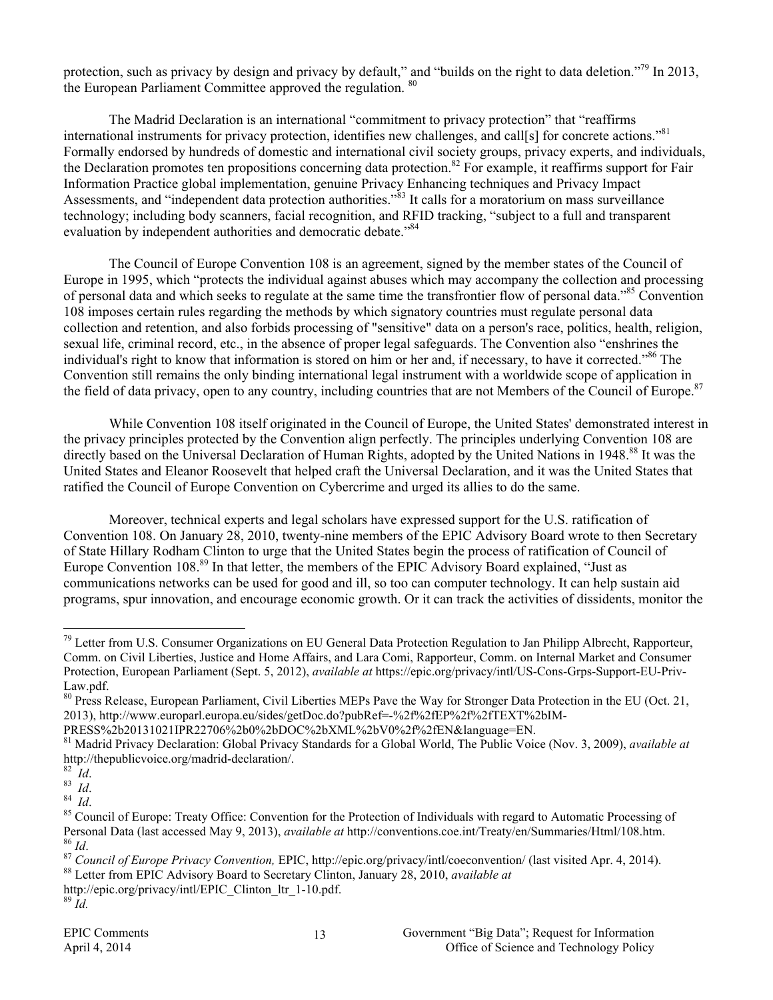protection, such as privacy by design and privacy by default," and "builds on the right to data deletion."<sup>79</sup> In 2013, the European Parliament Committee approved the regulation. <sup>80</sup>

The Madrid Declaration is an international "commitment to privacy protection" that "reaffirms international instruments for privacy protection, identifies new challenges, and call[s] for concrete actions."<sup>81</sup> Formally endorsed by hundreds of domestic and international civil society groups, privacy experts, and individuals, the Declaration promotes ten propositions concerning data protection.<sup>82</sup> For example, it reaffirms support for Fair Information Practice global implementation, genuine Privacy Enhancing techniques and Privacy Impact Assessments, and "independent data protection authorities."<sup>83</sup> It calls for a moratorium on mass surveillance technology; including body scanners, facial recognition, and RFID tracking, "subject to a full and transparent evaluation by independent authorities and democratic debate.<sup>784</sup>

The Council of Europe Convention 108 is an agreement, signed by the member states of the Council of Europe in 1995, which "protects the individual against abuses which may accompany the collection and processing of personal data and which seeks to regulate at the same time the transfrontier flow of personal data."85 Convention 108 imposes certain rules regarding the methods by which signatory countries must regulate personal data collection and retention, and also forbids processing of "sensitive" data on a person's race, politics, health, religion, sexual life, criminal record, etc., in the absence of proper legal safeguards. The Convention also "enshrines the individual's right to know that information is stored on him or her and, if necessary, to have it corrected."<sup>86</sup> The Convention still remains the only binding international legal instrument with a worldwide scope of application in the field of data privacy, open to any country, including countries that are not Members of the Council of Europe.<sup>87</sup>

While Convention 108 itself originated in the Council of Europe, the United States' demonstrated interest in the privacy principles protected by the Convention align perfectly. The principles underlying Convention 108 are directly based on the Universal Declaration of Human Rights, adopted by the United Nations in 1948.<sup>88</sup> It was the United States and Eleanor Roosevelt that helped craft the Universal Declaration, and it was the United States that ratified the Council of Europe Convention on Cybercrime and urged its allies to do the same.

Moreover, technical experts and legal scholars have expressed support for the U.S. ratification of Convention 108. On January 28, 2010, twenty-nine members of the EPIC Advisory Board wrote to then Secretary of State Hillary Rodham Clinton to urge that the United States begin the process of ratification of Council of Europe Convention 108.<sup>89</sup> In that letter, the members of the EPIC Advisory Board explained, "Just as communications networks can be used for good and ill, so too can computer technology. It can help sustain aid programs, spur innovation, and encourage economic growth. Or it can track the activities of dissidents, monitor the

<sup>&</sup>lt;sup>79</sup> Letter from U.S. Consumer Organizations on EU General Data Protection Regulation to Jan Philipp Albrecht, Rapporteur, Comm. on Civil Liberties, Justice and Home Affairs, and Lara Comi, Rapporteur, Comm. on Internal Market and Consumer Protection, European Parliament (Sept. 5, 2012), *available at* https://epic.org/privacy/intl/US-Cons-Grps-Support-EU-Priv-Law.pdf.

<sup>&</sup>lt;sup>80</sup> Press Release, European Parliament, Civil Liberties MEPs Pave the Way for Stronger Data Protection in the EU (Oct. 21, 2013), http://www.europarl.europa.eu/sides/getDoc.do?pubRef=-%2f%2fEP%2f%2fTEXT%2bIM-

PRESS%2b20131021IPR22706%2b0%2bDOC%2bXML%2bV0%2f%2fEN&language=EN.

<sup>81</sup> Madrid Privacy Declaration: Global Privacy Standards for a Global World, The Public Voice (Nov. 3, 2009), *available at* http://thepublicvoice.org/madrid-declaration/.<br><sup>82</sup>*Id.* 84<br><sup>84</sup> *Id.* 84<br><sup>85</sup> Council of Europe: Treaty Office: Convention for the Protection of Individuals with regard to Automatic Processing of

Personal Data (last accessed May 9, 2013), *available at* http://conventions.coe.int/Treaty/en/Summaries/Html/108.htm.<br><sup>86</sup> *Id.*<br><sup>87</sup> *Council of Europe Privacy Convention*, EPIC, http://epic.org/privacy/intl/coeconventio

http://epic.org/privacy/intl/EPIC\_Clinton\_ltr\_1-10.pdf. <sup>89</sup> *Id.*